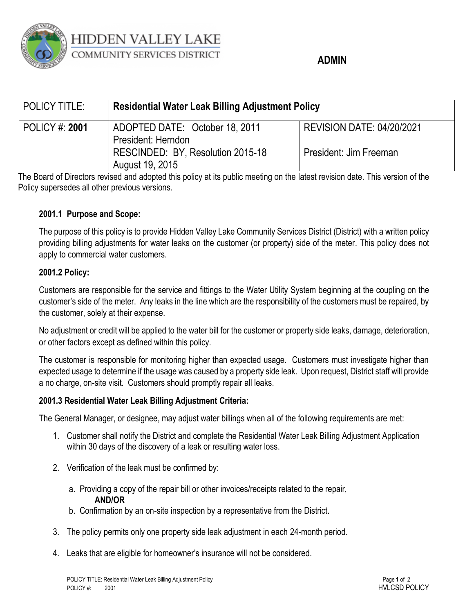

# **HIDDEN VALLEY LAKE** COMMUNITY SERVICES DISTRICT

## **ADMIN**

| POLICY TITLE:         | <b>Residential Water Leak Billing Adjustment Policy</b> |                                  |
|-----------------------|---------------------------------------------------------|----------------------------------|
| <b>POLICY #: 2001</b> | ADOPTED DATE: October 18, 2011<br>President: Herndon    | <b>REVISION DATE: 04/20/2021</b> |
|                       | RESCINDED: BY, Resolution 2015-18<br>August 19, 2015    | President: Jim Freeman           |

The Board of Directors revised and adopted this policy at its public meeting on the latest revision date. This version of the Policy supersedes all other previous versions.

### **2001.1 Purpose and Scope:**

The purpose of this policy is to provide Hidden Valley Lake Community Services District (District) with a written policy providing billing adjustments for water leaks on the customer (or property) side of the meter. This policy does not apply to commercial water customers.

#### **2001.2 Policy:**

Customers are responsible for the service and fittings to the Water Utility System beginning at the coupling on the customer's side of the meter. Any leaks in the line which are the responsibility of the customers must be repaired, by the customer, solely at their expense.

No adjustment or credit will be applied to the water bill for the customer or property side leaks, damage, deterioration, or other factors except as defined within this policy.

The customer is responsible for monitoring higher than expected usage. Customers must investigate higher than expected usage to determine if the usage was caused by a property side leak. Upon request, District staff will provide a no charge, on-site visit. Customers should promptly repair all leaks.

### **2001.3 Residential Water Leak Billing Adjustment Criteria:**

The General Manager, or designee, may adjust water billings when all of the following requirements are met:

- 1. Customer shall notify the District and complete the Residential Water Leak Billing Adjustment Application within 30 days of the discovery of a leak or resulting water loss.
- 2. Verification of the leak must be confirmed by:
	- a. Providing a copy of the repair bill or other invoices/receipts related to the repair, **AND/OR**
	- b. Confirmation by an on-site inspection by a representative from the District.
- 3. The policy permits only one property side leak adjustment in each 24-month period.
- 4. Leaks that are eligible for homeowner's insurance will not be considered.